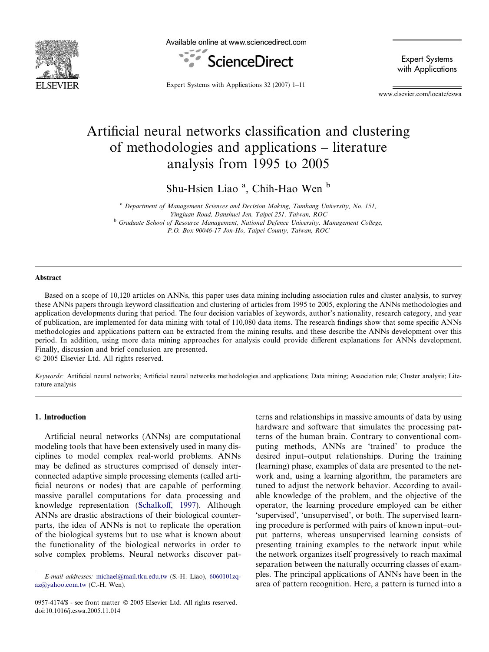

Available online at www.sciencedirect.com



Expert Systems with Applications

Expert Systems with Applications 32 (2007) 1–11

www.elsevier.com/locate/eswa

# Artificial neural networks classification and clustering of methodologies and applications – literature analysis from 1995 to 2005

Shu-Hsien Liao<sup>a</sup>, Chih-Hao Wen<sup>b</sup>

<sup>a</sup> Department of Management Sciences and Decision Making, Tamkang University, No. 151, Yingjuan Road, Danshuei Jen, Taipei 251, Taiwan, ROC <sup>b</sup> Graduate School of Resource Management, National Defence University, Management College, P.O. Box 90046-17 Jon-Ho, Taipei County, Taiwan, ROC

#### Abstract

Based on a scope of 10,120 articles on ANNs, this paper uses data mining including association rules and cluster analysis, to survey these ANNs papers through keyword classification and clustering of articles from 1995 to 2005, exploring the ANNs methodologies and application developments during that period. The four decision variables of keywords, author's nationality, research category, and year of publication, are implemented for data mining with total of 110,080 data items. The research findings show that some specific ANNs methodologies and applications pattern can be extracted from the mining results, and these describe the ANNs development over this period. In addition, using more data mining approaches for analysis could provide different explanations for ANNs development. Finally, discussion and brief conclusion are presented.

 $© 2005 Elsevier Ltd. All rights reserved.$ 

Keywords: Artificial neural networks; Artificial neural networks methodologies and applications; Data mining; Association rule; Cluster analysis; Literature analysis

#### 1. Introduction

Artificial neural networks (ANNs) are computational modeling tools that have been extensively used in many disciplines to model complex real-world problems. ANNs may be defined as structures comprised of densely interconnected adaptive simple processing elements (called artificial neurons or nodes) that are capable of performing massive parallel computations for data processing and knowledge representation [\(Schalkoff, 1997\)](#page-10-0). Although ANNs are drastic abstractions of their biological counterparts, the idea of ANNs is not to replicate the operation of the biological systems but to use what is known about the functionality of the biological networks in order to solve complex problems. Neural networks discover patterns and relationships in massive amounts of data by using hardware and software that simulates the processing patterns of the human brain. Contrary to conventional computing methods, ANNs are 'trained' to produce the desired input–output relationships. During the training (learning) phase, examples of data are presented to the network and, using a learning algorithm, the parameters are tuned to adjust the network behavior. According to available knowledge of the problem, and the objective of the operator, the learning procedure employed can be either 'supervised', 'unsupervised', or both. The supervised learning procedure is performed with pairs of known input–output patterns, whereas unsupervised learning consists of presenting training examples to the network input while the network organizes itself progressively to reach maximal separation between the naturally occurring classes of examples. The principal applications of ANNs have been in the area of pattern recognition. Here, a pattern is turned into a

E-mail addresses: [michael@mail.tku.edu.tw](mailto:michael@mail.tku.edu.tw) (S.-H. Liao), [6060101zq](mailto:6060101zq-az@yahoo.com.tw)[az@yahoo.com.tw](mailto:6060101zq-az@yahoo.com.tw) (C.-H. Wen).

<sup>0957-4174/\$ -</sup> see front matter © 2005 Elsevier Ltd. All rights reserved. doi:10.1016/j.eswa.2005.11.014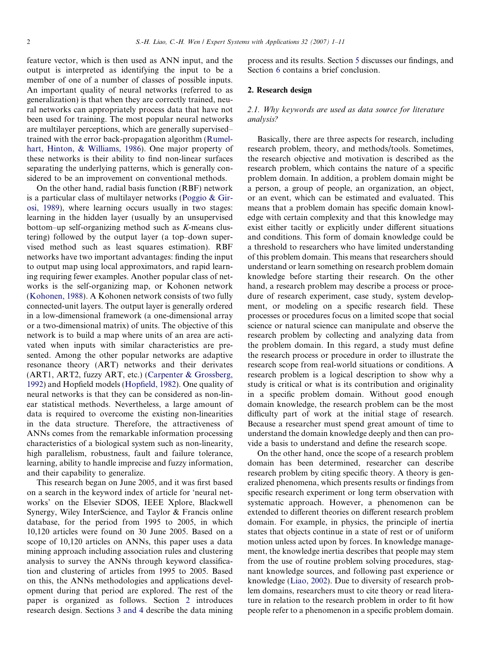feature vector, which is then used as ANN input, and the output is interpreted as identifying the input to be a member of one of a number of classes of possible inputs. An important quality of neural networks (referred to as generalization) is that when they are correctly trained, neural networks can appropriately process data that have not been used for training. The most popular neural networks are multilayer perceptions, which are generally supervised– trained with the error back-propagation algorithm ([Rumel](#page-10-0)[hart, Hinton, & Williams, 1986\)](#page-10-0). One major property of these networks is their ability to find non-linear surfaces separating the underlying patterns, which is generally considered to be an improvement on conventional methods.

On the other hand, radial basis function (RBF) network is a particular class of multilayer networks [\(Poggio & Gir](#page-10-0)[osi, 1989\)](#page-10-0), where learning occurs usually in two stages: learning in the hidden layer (usually by an unsupervised bottom–up self-organizing method such as K-means clustering) followed by the output layer (a top–down supervised method such as least squares estimation). RBF networks have two important advantages: finding the input to output map using local approximators, and rapid learning requiring fewer examples. Another popular class of networks is the self-organizing map, or Kohonen network [\(Kohonen, 1988](#page-10-0)). A Kohonen network consists of two fully connected-unit layers. The output layer is generally ordered in a low-dimensional framework (a one-dimensional array or a two-dimensional matrix) of units. The objective of this network is to build a map where units of an area are activated when inputs with similar characteristics are presented. Among the other popular networks are adaptive resonance theory (ART) networks and their derivates (ART1, ART2, fuzzy ART, etc.) [\(Carpenter & Grossberg,](#page-10-0) [1992\)](#page-10-0) and Hopfield models [\(Hopfield, 1982\)](#page-10-0). One quality of neural networks is that they can be considered as non-linear statistical methods. Nevertheless, a large amount of data is required to overcome the existing non-linearities in the data structure. Therefore, the attractiveness of ANNs comes from the remarkable information processing characteristics of a biological system such as non-linearity, high parallelism, robustness, fault and failure tolerance, learning, ability to handle imprecise and fuzzy information, and their capability to generalize.

This research began on June 2005, and it was first based on a search in the keyword index of article for 'neural networks' on the Elsevier SDOS, IEEE Xplore, Blackwell Synergy, Wiley InterScience, and Taylor & Francis online database, for the period from 1995 to 2005, in which 10,120 articles were found on 30 June 2005. Based on a scope of 10,120 articles on ANNs, this paper uses a data mining approach including association rules and clustering analysis to survey the ANNs through keyword classification and clustering of articles from 1995 to 2005. Based on this, the ANNs methodologies and applications development during that period are explored. The rest of the paper is organized as follows. Section 2 introduces research design. Sections [3 and 4](#page-3-0) describe the data mining process and its results. Section [5](#page-8-0) discusses our findings, and Section [6](#page-9-0) contains a brief conclusion.

#### 2. Research design

## 2.1. Why keywords are used as data source for literature analysis?

Basically, there are three aspects for research, including research problem, theory, and methods/tools. Sometimes, the research objective and motivation is described as the research problem, which contains the nature of a specific problem domain. In addition, a problem domain might be a person, a group of people, an organization, an object, or an event, which can be estimated and evaluated. This means that a problem domain has specific domain knowledge with certain complexity and that this knowledge may exist either tacitly or explicitly under different situations and conditions. This form of domain knowledge could be a threshold to researchers who have limited understanding of this problem domain. This means that researchers should understand or learn something on research problem domain knowledge before starting their research. On the other hand, a research problem may describe a process or procedure of research experiment, case study, system development, or modeling on a specific research field. These processes or procedures focus on a limited scope that social science or natural science can manipulate and observe the research problem by collecting and analyzing data from the problem domain. In this regard, a study must define the research process or procedure in order to illustrate the research scope from real-world situations or conditions. A research problem is a logical description to show why a study is critical or what is its contribution and originality in a specific problem domain. Without good enough domain knowledge, the research problem can be the most difficulty part of work at the initial stage of research. Because a researcher must spend great amount of time to understand the domain knowledge deeply and then can provide a basis to understand and define the research scope.

On the other hand, once the scope of a research problem domain has been determined, researcher can describe research problem by citing specific theory. A theory is generalized phenomena, which presents results or findings from specific research experiment or long term observation with systematic approach. However, a phenomenon can be extended to different theories on different research problem domain. For example, in physics, the principle of inertia states that objects continue in a state of rest or of uniform motion unless acted upon by forces. In knowledge management, the knowledge inertia describes that people may stem from the use of routine problem solving procedures, stagnant knowledge sources, and following past experience or knowledge [\(Liao, 2002\)](#page-10-0). Due to diversity of research problem domains, researchers must to cite theory or read literature in relation to the research problem in order to fit how people refer to a phenomenon in a specific problem domain.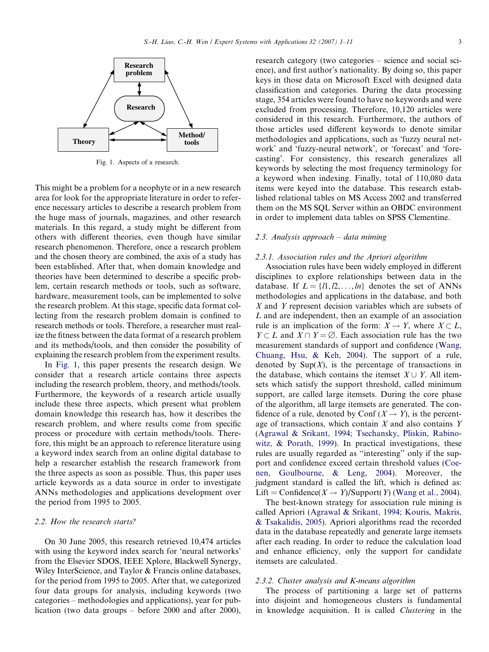

Fig. 1. Aspects of a research.

This might be a problem for a neophyte or in a new research area for look for the appropriate literature in order to reference necessary articles to describe a research problem from the huge mass of journals, magazines, and other research materials. In this regard, a study might be different from others with different theories, even though have similar research phenomenon. Therefore, once a research problem and the chosen theory are combined, the axis of a study has been established. After that, when domain knowledge and theories have been determined to describe a specific problem, certain research methods or tools, such as software, hardware, measurement tools, can be implemented to solve the research problem. At this stage, specific data format collecting from the research problem domain is confined to research methods or tools. Therefore, a researcher must realize the fitness between the data format of a research problem and its methods/tools, and then consider the possibility of explaining the research problem from the experiment results.

In Fig. 1, this paper presents the research design. We consider that a research article contains three aspects including the research problem, theory, and methods/tools. Furthermore, the keywords of a research article usually include these three aspects, which present what problem domain knowledge this research has, how it describes the research problem, and where results come from specific process or procedure with certain methods/tools. Therefore, this might be an approach to reference literature using a keyword index search from an online digital database to help a researcher establish the research framework from the three aspects as soon as possible. Thus, this paper uses article keywords as a data source in order to investigate ANNs methodologies and applications development over the period from 1995 to 2005.

## 2.2. How the research starts?

On 30 June 2005, this research retrieved 10,474 articles with using the keyword index search for 'neural networks' from the Elsevier SDOS, IEEE Xplore, Blackwell Synergy, Wiley InterScience, and Taylor & Francis online databases, for the period from 1995 to 2005. After that, we categorized four data groups for analysis, including keywords (two categories – methodologies and applications), year for publication (two data groups – before 2000 and after 2000), research category (two categories – science and social science), and first author's nationality. By doing so, this paper keys in those data on Microsoft Excel with designed data classification and categories. During the data processing stage, 354 articles were found to have no keywords and were excluded from processing. Therefore, 10,120 articles were considered in this research. Furthermore, the authors of those articles used different keywords to denote similar methodologies and applications, such as 'fuzzy neural network' and 'fuzzy-neural network', or 'forecast' and 'forecasting'. For consistency, this research generalizes all keywords by selecting the most frequency terminology for a keyword when indexing. Finally, total of 110,080 data items were keyed into the database. This research established relational tables on MS Access 2002 and transferred them on the MS SQL Server within an OBDC environment in order to implement data tables on SPSS Clementine.

#### 2.3. Analysis approach – data miming

#### 2.3.1. Association rules and the Apriori algorithm

Association rules have been widely employed in different disciplines to explore relationships between data in the database. If  $L = \{l_1, l_2, \ldots, l_n\}$  denotes the set of ANNs methodologies and applications in the database, and both X and Y represent decision variables which are subsets of L and are independent, then an example of an association rule is an implication of the form:  $X \to Y$ , where  $X \subset L$ ,  $Y \subset L$  and  $X \cap Y = \emptyset$ . Each association rule has the two measurement standards of support and confidence ([Wang,](#page-10-0) [Chuang, Hsu, & Keh, 2004](#page-10-0)). The support of a rule, denoted by  $\text{Sup}(X)$ , is the percentage of transactions in the database, which contains the itemset  $X \cup Y$ . All itemsets which satisfy the support threshold, called minimum support, are called large itemsets. During the core phase of the algorithm, all large itemsets are generated. The confidence of a rule, denoted by Conf  $(X \to Y)$ , is the percentage of transactions, which contain  $X$  and also contains  $Y$ ([Agrawal & Srikant, 1994; Tsechansky, Pliskin, Rabino](#page-9-0)[witz, & Porath, 1999](#page-9-0)). In practical investigations, these rules are usually regarded as ''interesting'' only if the support and confidence exceed certain threshold values [\(Coe](#page-10-0)[nen, Goulbourne, & Leng, 2004\)](#page-10-0). Moreover, the judgment standard is called the lift, which is defined as: Lift = Confidence( $X \to Y$ )/Support(Y) [\(Wang et al., 2004\)](#page-10-0).

The best-known strategy for association rule mining is called Apriori [\(Agrawal & Srikant, 1994; Kouris, Makris,](#page-9-0) [& Tsakalidis, 2005](#page-9-0)). Apriori algorithms read the recorded data in the database repeatedly and generate large itemsets after each reading. In order to reduce the calculation load and enhance efficiency, only the support for candidate itemsets are calculated.

#### 2.3.2. Cluster analysis and K-means algorithm

The process of partitioning a large set of patterns into disjoint and homogeneous clusters is fundamental in knowledge acquisition. It is called *Clustering* in the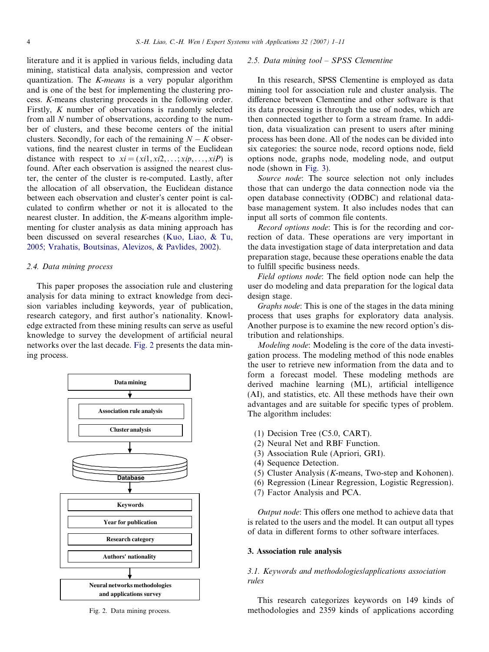<span id="page-3-0"></span>literature and it is applied in various fields, including data mining, statistical data analysis, compression and vector quantization. The K-means is a very popular algorithm and is one of the best for implementing the clustering process. K-means clustering proceeds in the following order. Firstly, K number of observations is randomly selected from all N number of observations, according to the number of clusters, and these become centers of the initial clusters. Secondly, for each of the remaining  $N - K$  observations, find the nearest cluster in terms of the Euclidean distance with respect to  $xi = (x_i1, x_i2, \ldots; x_ip, \ldots, x_iP)$  is found. After each observation is assigned the nearest cluster, the center of the cluster is re-computed. Lastly, after the allocation of all observation, the Euclidean distance between each observation and cluster's center point is calculated to confirm whether or not it is allocated to the nearest cluster. In addition, the K-means algorithm implementing for cluster analysis as data mining approach has been discussed on several researches [\(Kuo, Liao, & Tu,](#page-10-0) [2005; Vrahatis, Boutsinas, Alevizos, & Pavlides, 2002](#page-10-0)).

#### 2.4. Data mining process

This paper proposes the association rule and clustering analysis for data mining to extract knowledge from decision variables including keywords, year of publication, research category, and first author's nationality. Knowledge extracted from these mining results can serve as useful knowledge to survey the development of artificial neural networks over the last decade. Fig. 2 presents the data mining process.



Fig. 2. Data mining process.

#### 2.5. Data mining tool – SPSS Clementine

In this research, SPSS Clementine is employed as data mining tool for association rule and cluster analysis. The difference between Clementine and other software is that its data processing is through the use of nodes, which are then connected together to form a stream frame. In addition, data visualization can present to users after mining process has been done. All of the nodes can be divided into six categories: the source node, record options node, field options node, graphs node, modeling node, and output node (shown in [Fig. 3](#page-4-0)).

Source node: The source selection not only includes those that can undergo the data connection node via the open database connectivity (ODBC) and relational database management system. It also includes nodes that can input all sorts of common file contents.

Record options node: This is for the recording and correction of data. These operations are very important in the data investigation stage of data interpretation and data preparation stage, because these operations enable the data to fulfill specific business needs.

Field options node: The field option node can help the user do modeling and data preparation for the logical data design stage.

Graphs node: This is one of the stages in the data mining process that uses graphs for exploratory data analysis. Another purpose is to examine the new record option's distribution and relationships.

Modeling node: Modeling is the core of the data investigation process. The modeling method of this node enables the user to retrieve new information from the data and to form a forecast model. These modeling methods are derived machine learning (ML), artificial intelligence (AI), and statistics, etc. All these methods have their own advantages and are suitable for specific types of problem. The algorithm includes:

- (1) Decision Tree (C5.0, CART).
- (2) Neural Net and RBF Function.
- (3) Association Rule (Apriori, GRI).
- (4) Sequence Detection.
- (5) Cluster Analysis (K-means, Two-step and Kohonen).
- (6) Regression (Linear Regression, Logistic Regression).
- (7) Factor Analysis and PCA.

Output node: This offers one method to achieve data that is related to the users and the model. It can output all types of data in different forms to other software interfaces.

#### 3. Association rule analysis

## 3.1. Keywords and methodologies/applications association rules

This research categorizes keywords on 149 kinds of methodologies and 2359 kinds of applications according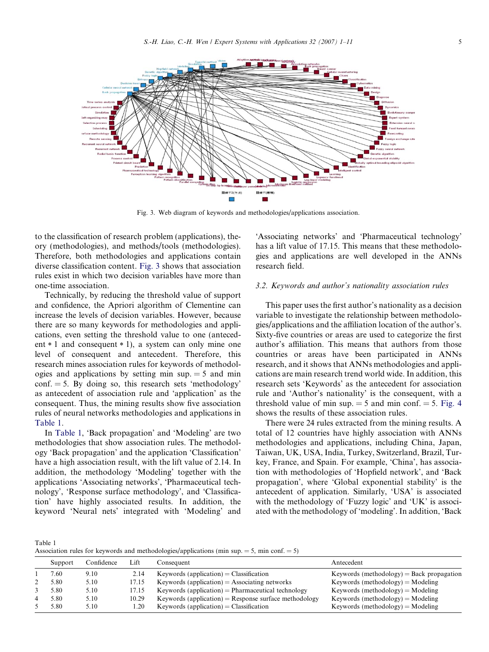<span id="page-4-0"></span>

Fig. 3. Web diagram of keywords and methodologies/applications association.

to the classification of research problem (applications), theory (methodologies), and methods/tools (methodologies). Therefore, both methodologies and applications contain diverse classification content. Fig. 3 shows that association rules exist in which two decision variables have more than one-time association.

Technically, by reducing the threshold value of support and confidence, the Apriori algorithm of Clementine can increase the levels of decision variables. However, because there are so many keywords for methodologies and applications, even setting the threshold value to one (antecedent \* 1 and consequent \* 1), a system can only mine one level of consequent and antecedent. Therefore, this research mines association rules for keywords of methodologies and applications by setting min sup.  $= 5$  and min  $\text{conf.} = 5$ . By doing so, this research sets 'methodology' as antecedent of association rule and 'application' as the consequent. Thus, the mining results show five association rules of neural networks methodologies and applications in Table 1.

In Table 1, 'Back propagation' and 'Modeling' are two methodologies that show association rules. The methodology 'Back propagation' and the application 'Classification' have a high association result, with the lift value of 2.14. In addition, the methodology 'Modeling' together with the applications 'Associating networks', 'Pharmaceutical technology', 'Response surface methodology', and 'Classification' have highly associated results. In addition, the keyword 'Neural nets' integrated with 'Modeling' and 'Associating networks' and 'Pharmaceutical technology' has a lift value of 17.15. This means that these methodologies and applications are well developed in the ANNs research field.

#### 3.2. Keywords and author's nationality association rules

This paper uses the first author's nationality as a decision variable to investigate the relationship between methodologies/applications and the affiliation location of the author's. Sixty-five countries or areas are used to categorize the first author's affiliation. This means that authors from those countries or areas have been participated in ANNs research, and it shows that ANNs methodologies and applications are main research trend world wide. In addition, this research sets 'Keywords' as the antecedent for association rule and 'Author's nationality' is the consequent, with a threshold value of min sup.  $=$  5 and min conf.  $=$  5. [Fig. 4](#page-5-0) shows the results of these association rules.

There were 24 rules extracted from the mining results. A total of 12 countries have highly association with ANNs methodologies and applications, including China, Japan, Taiwan, UK, USA, India, Turkey, Switzerland, Brazil, Turkey, France, and Spain. For example, 'China', has association with methodologies of 'Hopfield network', and 'Back propagation', where 'Global exponential stability' is the antecedent of application. Similarly, 'USA' is associated with the methodology of 'Fuzzy logic' and 'UK' is associated with the methodology of 'modeling'. In addition, 'Back

Table 1

Association rules for keywords and methodologies/applications (min sup.  $=$  5, min conf.  $=$  5)

| Support | Confidence | Lift  | Consequent                                            | Antecedent                                |
|---------|------------|-------|-------------------------------------------------------|-------------------------------------------|
| 7.60    | 9.10       | 2.14  | Keywords (application) = Classification               | Keywords (methodology) = Back propagation |
| 5.80    | 5.10       | 17.15 | Keywords (application) = Associating networks         | Keywords (methodology) = Modeling         |
| 5.80    | 5.10       | 17.15 | Keywords (application) = Pharmaceutical technology    | Keywords (methodology) = Modeling         |
| 5.80    | 5.10       | 10.29 | Keywords (application) = Response surface methodology | Keywords (methodology) = Modeling         |
| 5.80    | 5.10       | 1.20  | Keywords (application) = Classification               | Keywords (methodology) = Modeling         |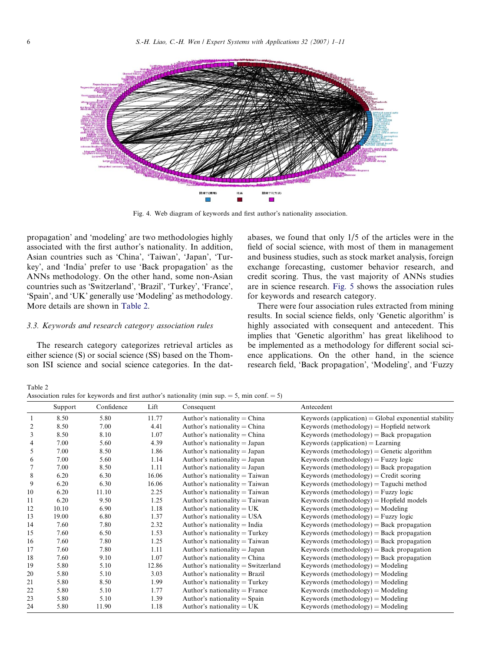<span id="page-5-0"></span>

Fig. 4. Web diagram of keywords and first author's nationality association.

propagation' and 'modeling' are two methodologies highly associated with the first author's nationality. In addition, Asian countries such as 'China', 'Taiwan', 'Japan', 'Turkey', and 'India' prefer to use 'Back propagation' as the ANNs methodology. On the other hand, some non-Asian countries such as 'Switzerland', 'Brazil', 'Turkey', 'France', 'Spain', and 'UK' generally use 'Modeling' as methodology. More details are shown in Table 2.

## 3.3. Keywords and research category association rules

The research category categorizes retrieval articles as either science (S) or social science (SS) based on the Thomson ISI science and social science categories. In the databases, we found that only 1/5 of the articles were in the field of social science, with most of them in management and business studies, such as stock market analysis, foreign exchange forecasting, customer behavior research, and credit scoring. Thus, the vast majority of ANNs studies are in science research. [Fig. 5](#page-6-0) shows the association rules for keywords and research category.

There were four association rules extracted from mining results. In social science fields, only 'Genetic algorithm' is highly associated with consequent and antecedent. This implies that 'Genetic algorithm' has great likelihood to be implemented as a methodology for different social science applications. On the other hand, in the science research field, 'Back propagation', 'Modeling', and 'Fuzzy

Table 2 Association rules for keywords and first author's nationality (min sup.  $=$  5, min conf.  $=$  5)

|    | Support | Confidence | Lift  | Consequent                         | Antecedent                                            |
|----|---------|------------|-------|------------------------------------|-------------------------------------------------------|
| 1  | 8.50    | 5.80       | 11.77 | Author's nationality = China       | Keywords (application) = Global exponential stability |
| 2  | 8.50    | 7.00       | 4.41  | Author's nationality = China       | Keywords (methodology) = Hopfield network             |
| 3  | 8.50    | 8.10       | 1.07  | Author's nationality = China       | Keywords (methodology) = Back propagation             |
| 4  | 7.00    | 5.60       | 4.39  | Author's nationality = Japan       | Keywords (application) = Learning                     |
| 5  | 7.00    | 8.50       | 1.86  | Author's nationality $=$ Japan     | Keywords (methodology) = Genetic algorithm            |
| 6  | 7.00    | 5.60       | 1.14  | Author's nationality $=$ Japan     | Keywords (methodology) = Fuzzy logic                  |
|    | 7.00    | 8.50       | 1.11  | Author's nationality = Japan       | Keywords (methodology) = Back propagation             |
| 8  | 6.20    | 6.30       | 16.06 | Author's nationality = $Taiwan$    | Keywords (methodology) = Credit scoring               |
| 9  | 6.20    | 6.30       | 16.06 | Author's nationality = Taiwan      | Keywords (methodology) = Taguchi method               |
| 10 | 6.20    | 11.10      | 2.25  | Author's nationality = Taiwan      | Keywords (methodology) = $Fuzzy logic$                |
| 11 | 6.20    | 9.50       | 1.25  | Author's nationality = $Taiwan$    | Keywords (methodology) = Hopfield models              |
| 12 | 10.10   | 6.90       | 1.18  | Author's nationality = $UK$        | Keywords (methodology) = Modeling                     |
| 13 | 19.00   | 6.80       | 1.37  | Author's nationality = $USA$       | Keywords (methodology) = $Fuzzy logic$                |
| 14 | 7.60    | 7.80       | 2.32  | Author's nationality = India       | Keywords (methodology) = Back propagation             |
| 15 | 7.60    | 6.50       | 1.53  | Author's nationality $=$ Turkey    | Keywords (methodology) = Back propagation             |
| 16 | 7.60    | 7.80       | 1.25  | Author's nationality = Taiwan      | Keywords (methodology) = Back propagation             |
| 17 | 7.60    | 7.80       | 1.11  | Author's nationality $=$ Japan     | Keywords (methodology) = Back propagation             |
| 18 | 7.60    | 9.10       | 1.07  | Author's nationality = China       | Keywords (methodology) = Back propagation             |
| 19 | 5.80    | 5.10       | 12.86 | Author's nationality = Switzerland | Keywords (methodology) = Modeling                     |
| 20 | 5.80    | 5.10       | 3.03  | Author's nationality = Brazil      | Keywords (methodology) = Modeling                     |
| 21 | 5.80    | 8.50       | 1.99  | Author's nationality = $Turkey$    | Keywords (methodology) = $Modeling$                   |
| 22 | 5.80    | 5.10       | 1.77  | Author's nationality = France      | Keywords (methodology) = Modeling                     |
| 23 | 5.80    | 5.10       | 1.39  | Author's nationality = $S$ pain    | Keywords (methodology) = Modeling                     |
| 24 | 5.80    | 11.90      | 1.18  | Author's nationality = $UK$        | Keywords (methodology) = Modeling                     |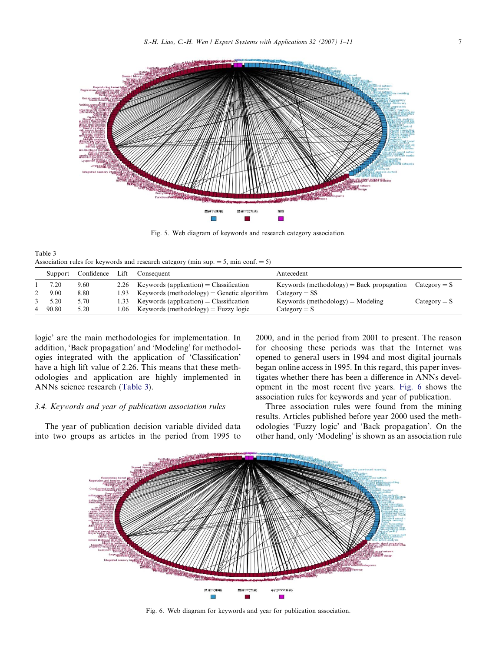<span id="page-6-0"></span>

Fig. 5. Web diagram of keywords and research category association.

Table 3 Association rules for keywords and research category (min sup.  $= 5$ , min conf.  $= 5$ )

| Support | Confidence Lift | Consequent                                      | Antecedent                                             |                |
|---------|-----------------|-------------------------------------------------|--------------------------------------------------------|----------------|
| 7.20    | 9.60            | 2.26 Keywords (application) = Classification    | Keywords (methodology) = Back propagation Category = S |                |
| 9.00    | 8.80            | 1.93 Keywords (methodology) = Genetic algorithm | $Category = SS$                                        |                |
| 5.20    | 5.70            | 1.33 Keywords (application) = Classification    | Keywords (methodology) = Modeling                      | $Category = S$ |
| 4 90.80 | 5.20            | 1.06 Keywords (methodology) = Fuzzy logic       | $Category = S$                                         |                |

logic' are the main methodologies for implementation. In addition, 'Back propagation' and 'Modeling' for methodologies integrated with the application of 'Classification' have a high lift value of 2.26. This means that these methodologies and application are highly implemented in ANNs science research (Table 3).

## 3.4. Keywords and year of publication association rules

The year of publication decision variable divided data into two groups as articles in the period from 1995 to 2000, and in the period from 2001 to present. The reason for choosing these periods was that the Internet was opened to general users in 1994 and most digital journals began online access in 1995. In this regard, this paper investigates whether there has been a difference in ANNs development in the most recent five years. Fig. 6 shows the association rules for keywords and year of publication.

Three association rules were found from the mining results. Articles published before year 2000 used the methodologies 'Fuzzy logic' and 'Back propagation'. On the other hand, only 'Modeling' is shown as an association rule



Fig. 6. Web diagram for keywords and year for publication association.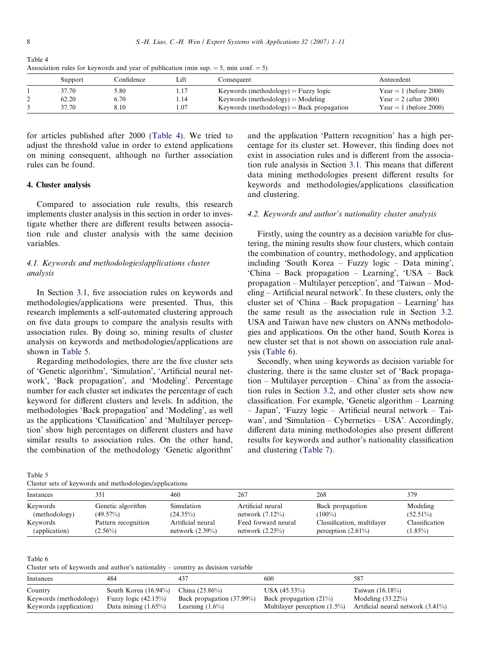| Association rules for keywords and year of publication (min sup. $=$ 5, min conf. $=$ 5) |            |      |                                           |                         |  |  |
|------------------------------------------------------------------------------------------|------------|------|-------------------------------------------|-------------------------|--|--|
| Support                                                                                  | Confidence | Lift | Consequent                                | Antecedent              |  |  |
| 37.70                                                                                    | 5.80       | 1.17 | Keywords (methodology) = Fuzzy logic      | Year = 1 (before 2000)  |  |  |
| 62.20                                                                                    | 6.70       | l.14 | Keywords (methodology) = Modeling         | Year $= 2$ (after 2000) |  |  |
| 37.70                                                                                    | 8.10       | l.O7 | Keywords (methodology) = Back propagation | Year = 1 (before 2000)  |  |  |

for articles published after 2000 (Table 4). We tried to adjust the threshold value in order to extend applications on mining consequent, although no further association rules can be found.

## 4. Cluster analysis

Compared to association rule results, this research implements cluster analysis in this section in order to investigate whether there are different results between association rule and cluster analysis with the same decision variables.

## 4.1. Keywords and methodologies/applications cluster analysis

In Section [3.1](#page-3-0), five association rules on keywords and methodologies/applications were presented. Thus, this research implements a self-automated clustering approach on five data groups to compare the analysis results with association rules. By doing so, mining results of cluster analysis on keywords and methodologies/applications are shown in Table 5.

Regarding methodologies, there are the five cluster sets of 'Genetic algorithm', 'Simulation', 'Artificial neural network', 'Back propagation', and 'Modeling'. Percentage number for each cluster set indicates the percentage of each keyword for different clusters and levels. In addition, the methodologies 'Back propagation' and 'Modeling', as well as the applications 'Classification' and 'Multilayer perception' show high percentages on different clusters and have similar results to association rules. On the other hand, the combination of the methodology 'Genetic algorithm'

and the application 'Pattern recognition' has a high percentage for its cluster set. However, this finding does not exist in association rules and is different from the association rule analysis in Section [3.1](#page-3-0). This means that different data mining methodologies present different results for keywords and methodologies/applications classification and clustering.

#### 4.2. Keywords and author's nationality cluster analysis

Firstly, using the country as a decision variable for clustering, the mining results show four clusters, which contain the combination of country, methodology, and application including 'South Korea – Fuzzy logic – Data mining', 'China – Back propagation – Learning', 'USA – Back propagation – Multilayer perception', and 'Taiwan – Modeling – Artificial neural network'. In these clusters, only the cluster set of 'China – Back propagation – Learning' has the same result as the association rule in Section [3.2](#page-4-0). USA and Taiwan have new clusters on ANNs methodologies and applications. On the other hand, South Korea is new cluster set that is not shown on association rule analysis (Table 6).

Secondly, when using keywords as decision variable for clustering, there is the same cluster set of 'Back propagation – Multilayer perception – China' as from the association rules in Section [3.2](#page-4-0), and other cluster sets show new classification. For example, 'Genetic algorithm – Learning – Japan', 'Fuzzy logic – Artificial neural network – Taiwan', and 'Simulation – Cybernetics – USA'. Accordingly, different data mining methodologies also present different results for keywords and author's nationality classification and clustering ([Table 7](#page-8-0)).

Table 5 Cluster sets of keywords and methodologies/applications

| Instances                 | 351                           | 460                       | 267                                     | 268                           | 379                     |
|---------------------------|-------------------------------|---------------------------|-----------------------------------------|-------------------------------|-------------------------|
| Keywords<br>(methodology) | Genetic algorithm<br>(49.57%) | Simulation<br>$(24.35\%)$ | Artificial neural<br>network $(7.12\%)$ | Back propagation<br>$(100\%)$ | Modeling<br>$(52.51\%)$ |
| Keywords                  | Pattern recognition           | Artificial neural         | Feed forward neural                     | Classification, multilayer    | Classification          |
| (application)             | $(2.56\%)$                    | network $(2.39\%)$        | network $(2.25\%)$                      | perception $(2.61\%)$         | $(1.85\%)$              |

Table 6

Cluster sets of keywords and author's nationality – country as decision variable

| Instances              | 484                                       | 437                       | 600                             | 587                                  |
|------------------------|-------------------------------------------|---------------------------|---------------------------------|--------------------------------------|
| Country                | South Korea $(16.94\%)$ China $(25.86\%)$ |                           | USA $(45.33\%)$                 | Taiwan $(16.18\%)$                   |
| Keywords (methodology) | Fuzzy logic $(42.15\%)$                   | Back propagation (37.99%) | Back propagation $(21\%)$       | Modeling $(33.22\%)$                 |
| Keywords (application) | Data mining $(1.65\%)$                    | Learning $(1.6\%)$        | Multilayer perception $(1.5\%)$ | Artificial neural network $(3.41\%)$ |

<span id="page-7-0"></span>Table 4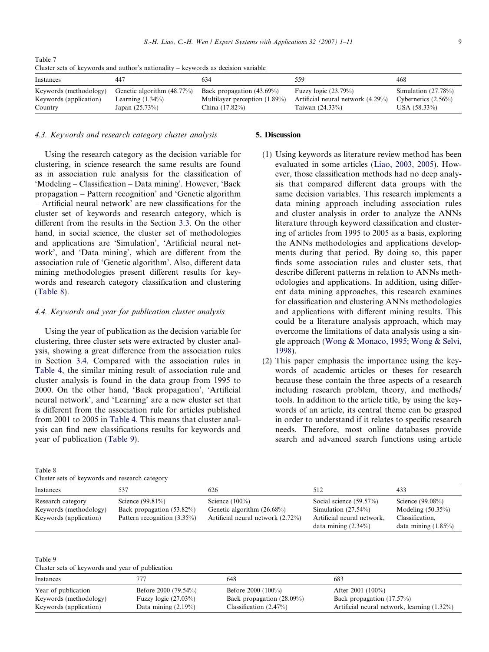| Clusici sets of revwords and author s-hationality $-$ revwords as decision variable |                            |                                  |                                   |                        |  |  |
|-------------------------------------------------------------------------------------|----------------------------|----------------------------------|-----------------------------------|------------------------|--|--|
| Instances                                                                           | 447                        | 634                              | 559                               | 468                    |  |  |
| Keywords (methodology)                                                              | Genetic algorithm (48.77%) | Back propagation $(43.69\%)$     | Fuzzy logic $(23.79\%)$           | Simulation $(27.78\%)$ |  |  |
| Keywords (application)                                                              | Learning $(1.34\%)$        | Multilayer perception $(1.89\%)$ | Artificial neural network (4.29%) | Cybernetics $(2.56\%)$ |  |  |
| Country                                                                             | Japan $(25.73\%)$          | China $(17.82\%)$                | Taiwan (24.33%)                   | USA $(58.33\%)$        |  |  |

 $f$  keywords and author's nationality – keywords as decision variable

#### 4.3. Keywords and research category cluster analysis

Using the research category as the decision variable for clustering, in science research the same results are found as in association rule analysis for the classification of 'Modeling – Classification – Data mining'. However, 'Back propagation – Pattern recognition' and 'Genetic algorithm – Artificial neural network' are new classifications for the cluster set of keywords and research category, which is different from the results in the Section [3.3.](#page-5-0) On the other hand, in social science, the cluster set of methodologies and applications are 'Simulation', 'Artificial neural network', and 'Data mining', which are different from the association rule of 'Genetic algorithm'. Also, different data mining methodologies present different results for keywords and research category classification and clustering (Table 8).

#### 4.4. Keywords and year for publication cluster analysis

Using the year of publication as the decision variable for clustering, three cluster sets were extracted by cluster analysis, showing a great difference from the association rules in Section [3.4.](#page-6-0) Compared with the association rules in [Table 4,](#page-7-0) the similar mining result of association rule and cluster analysis is found in the data group from 1995 to 2000. On the other hand, 'Back propagation', 'Artificial neural network', and 'Learning' are a new cluster set that is different from the association rule for articles published from 2001 to 2005 in [Table 4](#page-7-0). This means that cluster analysis can find new classifications results for keywords and year of publication (Table 9).

# 5. Discussion

- (1) Using keywords as literature review method has been evaluated in some articles [\(Liao, 2003, 2005](#page-10-0)). However, those classification methods had no deep analysis that compared different data groups with the same decision variables. This research implements a data mining approach including association rules and cluster analysis in order to analyze the ANNs literature through keyword classification and clustering of articles from 1995 to 2005 as a basis, exploring the ANNs methodologies and applications developments during that period. By doing so, this paper finds some association rules and cluster sets, that describe different patterns in relation to ANNs methodologies and applications. In addition, using different data mining approaches, this research examines for classification and clustering ANNs methodologies and applications with different mining results. This could be a literature analysis approach, which may overcome the limitations of data analysis using a single approach [\(Wong & Monaco, 1995; Wong & Selvi,](#page-10-0) [1998](#page-10-0)).
- (2) This paper emphasis the importance using the keywords of academic articles or theses for research because these contain the three aspects of a research including research problem, theory, and methods/ tools. In addition to the article title, by using the keywords of an article, its central theme can be grasped in order to understand if it relates to specific research needs. Therefore, most online databases provide search and advanced search functions using article

| Instances                                                             | 537                                                                                   | 626                                                                                     | 512                                                                                                         | 433                                                                                      |
|-----------------------------------------------------------------------|---------------------------------------------------------------------------------------|-----------------------------------------------------------------------------------------|-------------------------------------------------------------------------------------------------------------|------------------------------------------------------------------------------------------|
| Research category<br>Keywords (methodology)<br>Keywords (application) | Science $(99.81\%)$<br>Back propagation $(53.82\%)$<br>Pattern recognition $(3.35\%)$ | Science $(100\%)$<br>Genetic algorithm $(26.68\%)$<br>Artificial neural network (2.72%) | Social science $(59.57%)$<br>Simulation $(27.54\%)$<br>Artificial neural network,<br>data mining $(2.34\%)$ | Science $(99.08\%)$<br>Modeling $(50.35\%)$<br>Classification,<br>data mining $(1.85\%)$ |

Cluster sets of keywords and year of publication

Cluster sets of keywords and research category

Table 8

<span id="page-8-0"></span>Table 7

Table 9

| Instances              |                         | 648                          | 683                                         |
|------------------------|-------------------------|------------------------------|---------------------------------------------|
| Year of publication    | Before 2000 (79.54%)    | Before $2000(100\%)$         | After 2001 $(100\%)$                        |
| Keywords (methodology) | Fuzzy logic $(27.03\%)$ | Back propagation $(28.09\%)$ | Back propagation $(17.57%)$                 |
| Keywords (application) | Data mining $(2.19\%)$  | Classification $(2.47\%)$    | Artificial neural network, learning (1.32%) |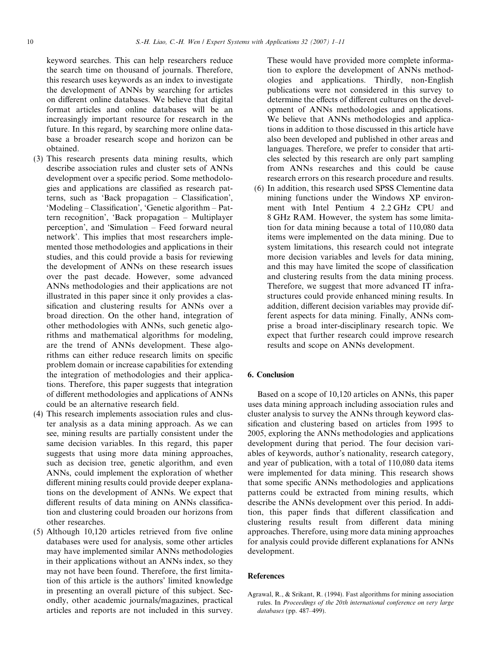<span id="page-9-0"></span>keyword searches. This can help researchers reduce the search time on thousand of journals. Therefore, this research uses keywords as an index to investigate the development of ANNs by searching for articles on different online databases. We believe that digital format articles and online databases will be an increasingly important resource for research in the future. In this regard, by searching more online database a broader research scope and horizon can be obtained.

- (3) This research presents data mining results, which describe association rules and cluster sets of ANNs development over a specific period. Some methodologies and applications are classified as research patterns, such as 'Back propagation – Classification', 'Modeling – Classification', 'Genetic algorithm – Pattern recognition', 'Back propagation – Multiplayer perception', and 'Simulation – Feed forward neural network'. This implies that most researchers implemented those methodologies and applications in their studies, and this could provide a basis for reviewing the development of ANNs on these research issues over the past decade. However, some advanced ANNs methodologies and their applications are not illustrated in this paper since it only provides a classification and clustering results for ANNs over a broad direction. On the other hand, integration of other methodologies with ANNs, such genetic algorithms and mathematical algorithms for modeling, are the trend of ANNs development. These algorithms can either reduce research limits on specific problem domain or increase capabilities for extending the integration of methodologies and their applications. Therefore, this paper suggests that integration of different methodologies and applications of ANNs could be an alternative research field.
- (4) This research implements association rules and cluster analysis as a data mining approach. As we can see, mining results are partially consistent under the same decision variables. In this regard, this paper suggests that using more data mining approaches, such as decision tree, genetic algorithm, and even ANNs, could implement the exploration of whether different mining results could provide deeper explanations on the development of ANNs. We expect that different results of data mining on ANNs classification and clustering could broaden our horizons from other researches.
- (5) Although 10,120 articles retrieved from five online databases were used for analysis, some other articles may have implemented similar ANNs methodologies in their applications without an ANNs index, so they may not have been found. Therefore, the first limitation of this article is the authors' limited knowledge in presenting an overall picture of this subject. Secondly, other academic journals/magazines, practical articles and reports are not included in this survey.

These would have provided more complete information to explore the development of ANNs methodologies and applications. Thirdly, non-English publications were not considered in this survey to determine the effects of different cultures on the development of ANNs methodologies and applications. We believe that ANNs methodologies and applications in addition to those discussed in this article have also been developed and published in other areas and languages. Therefore, we prefer to consider that articles selected by this research are only part sampling from ANNs researches and this could be cause research errors on this research procedure and results.

(6) In addition, this research used SPSS Clementine data mining functions under the Windows XP environment with Intel Pentium 4 2.2 GHz CPU and 8 GHz RAM. However, the system has some limitation for data mining because a total of 110,080 data items were implemented on the data mining. Due to system limitations, this research could not integrate more decision variables and levels for data mining, and this may have limited the scope of classification and clustering results from the data mining process. Therefore, we suggest that more advanced IT infrastructures could provide enhanced mining results. In addition, different decision variables may provide different aspects for data mining. Finally, ANNs comprise a broad inter-disciplinary research topic. We expect that further research could improve research results and scope on ANNs development.

## 6. Conclusion

Based on a scope of 10,120 articles on ANNs, this paper uses data mining approach including association rules and cluster analysis to survey the ANNs through keyword classification and clustering based on articles from 1995 to 2005, exploring the ANNs methodologies and applications development during that period. The four decision variables of keywords, author's nationality, research category, and year of publication, with a total of 110,080 data items were implemented for data mining. This research shows that some specific ANNs methodologies and applications patterns could be extracted from mining results, which describe the ANNs development over this period. In addition, this paper finds that different classification and clustering results result from different data mining approaches. Therefore, using more data mining approaches for analysis could provide different explanations for ANNs development.

#### References

Agrawal, R., & Srikant, R. (1994). Fast algorithms for mining association rules. In Proceedings of the 20th international conference on very large databases (pp. 487–499).